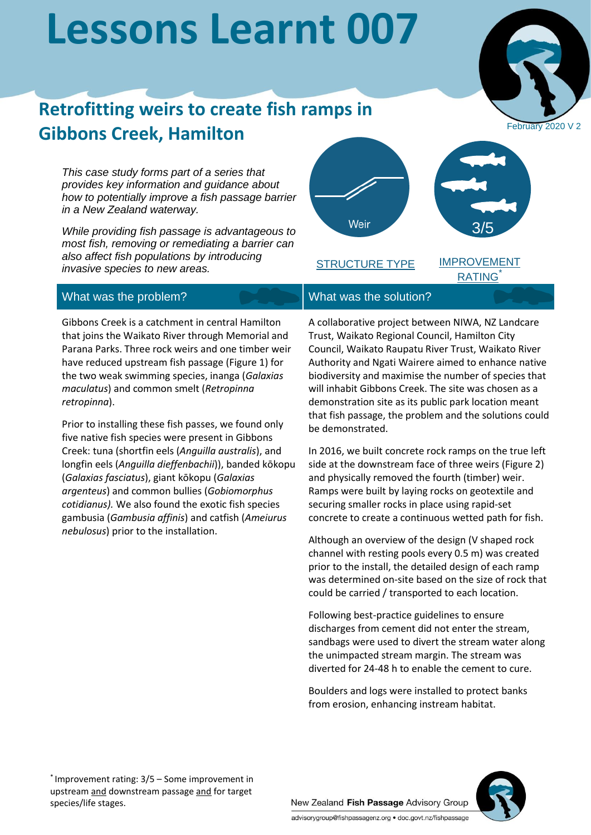# **Lessons Learnt 007**



## **Retrofitting weirs to create fish ramps in Gibbons Creek, Hamilton**

*This case study forms part of a series that provides key information and guidance about how to potentially improve a fish passage barrier in a New Zealand waterway.*

*While providing fish passage is advantageous to most fish, removing or remediating a barrier can also affect fish populations by introducing invasive species to new areas.*



STRUCTURE TYPE

IMPROVEMENT **RATING** 

### What was the problem? What was the solution?

Gibbons Creek is a catchment in central Hamilton that joins the Waikato River through Memorial and Parana Parks. Three rock weirs and one timber weir have reduced upstream fish passage (Figure 1) for the two weak swimming species, inanga (*Galaxias maculatus*) and common smelt (*Retropinna retropinna*).

Prior to installing these fish passes, we found only five native fish species were present in Gibbons Creek: tuna (shortfin eels (*Anguilla australis*), and longfin eels (*Anguilla dieffenbachii*)), banded kōkopu (*Galaxias fasciatus*), giant kōkopu (*Galaxias argenteus*) and common bullies (*Gobiomorphus cotidianus).* We also found the exotic fish species gambusia (*Gambusia affinis*) and catfish (*Ameiurus nebulosus*) prior to the installation.

A collaborative project between NIWA, NZ Landcare Trust, Waikato Regional Council, Hamilton City Council, Waikato Raupatu River Trust, Waikato River Authority and Ngati Wairere aimed to enhance native biodiversity and maximise the number of species that will inhabit Gibbons Creek. The site was chosen as a demonstration site as its public park location meant that fish passage, the problem and the solutions could be demonstrated.

In 2016, we built concrete rock ramps on the true left side at the downstream face of three weirs (Figure 2) and physically removed the fourth (timber) weir. Ramps were built by laying rocks on geotextile and securing smaller rocks in place using rapid-set concrete to create a continuous wetted path for fish.

Although an overview of the design (V shaped rock channel with resting pools every 0.5 m) was created prior to the install, the detailed design of each ramp was determined on-site based on the size of rock that could be carried / transported to each location.

Following best-practice guidelines to ensure discharges from cement did not enter the stream, sandbags were used to divert the stream water along the unimpacted stream margin. The stream was diverted for 24-48 h to enable the cement to cure.

Boulders and logs were installed to protect banks from erosion, enhancing instream habitat.

\* Improvement rating: 3/5 – Some improvement in upstream and downstream passage and for target species/life stages.

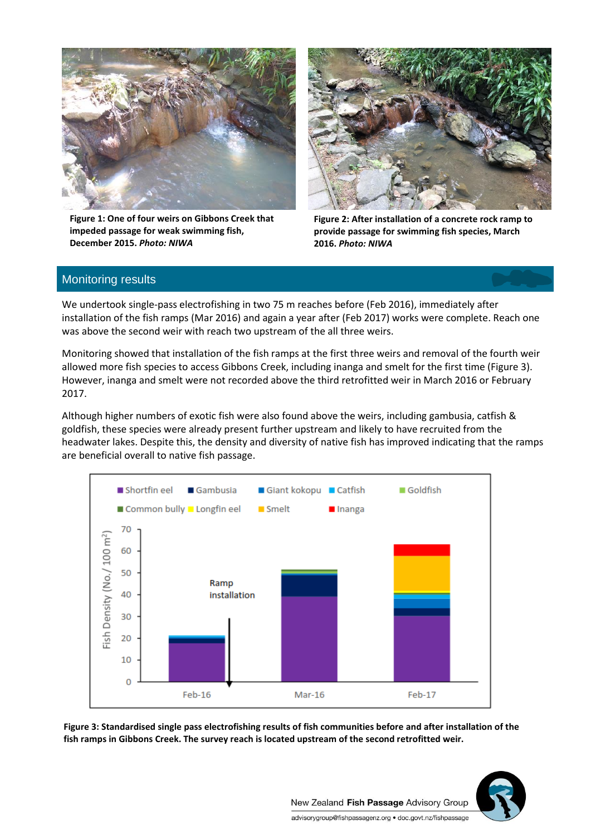

**Figure 1: One of four weirs on Gibbons Creek that impeded passage for weak swimming fish, December 2015.** *Photo: NIWA*



**Figure 2: After installation of a concrete rock ramp to provide passage for swimming fish species, March 2016.** *Photo: NIWA*

#### Monitoring results

We undertook single-pass electrofishing in two 75 m reaches before (Feb 2016), immediately after installation of the fish ramps (Mar 2016) and again a year after (Feb 2017) works were complete. Reach one was above the second weir with reach two upstream of the all three weirs.

Monitoring showed that installation of the fish ramps at the first three weirs and removal of the fourth weir allowed more fish species to access Gibbons Creek, including inanga and smelt for the first time (Figure 3). However, inanga and smelt were not recorded above the third retrofitted weir in March 2016 or February 2017.

Although higher numbers of exotic fish were also found above the weirs, including gambusia, catfish & goldfish, these species were already present further upstream and likely to have recruited from the headwater lakes. Despite this, the density and diversity of native fish has improved indicating that the ramps are beneficial overall to native fish passage.



**Figure 3: Standardised single pass electrofishing results of fish communities before and after installation of the fish ramps in Gibbons Creek. The survey reach is located upstream of the second retrofitted weir.**